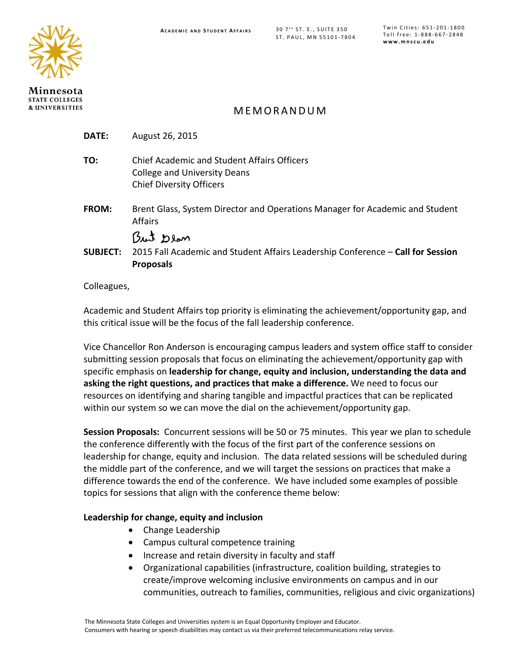

Minnesota **STATE COLLEGES & UNIVERSITIES** 

# MEMORANDUM

| DATE:           | August 26, 2015                                                                                                              |
|-----------------|------------------------------------------------------------------------------------------------------------------------------|
| TO:             | <b>Chief Academic and Student Affairs Officers</b><br><b>College and University Deans</b><br><b>Chief Diversity Officers</b> |
| FROM:           | Brent Glass, System Director and Operations Manager for Academic and Student<br><b>Affairs</b>                               |
|                 | But Dean                                                                                                                     |
| <b>SUBJECT:</b> | 2015 Fall Academic and Student Affairs Leadership Conference - Call for Session                                              |
|                 | <b>Proposals</b>                                                                                                             |
|                 |                                                                                                                              |

#### Colleagues,

Academic and Student Affairs top priority is eliminating the achievement/opportunity gap, and this critical issue will be the focus of the fall leadership conference.

Vice Chancellor Ron Anderson is encouraging campus leaders and system office staff to consider submitting session proposals that focus on eliminating the achievement/opportunity gap with specific emphasis on **leadership for change, equity and inclusion, understanding the data and asking the right questions, and practices that make a difference.** We need to focus our resources on identifying and sharing tangible and impactful practices that can be replicated within our system so we can move the dial on the achievement/opportunity gap.

**Session Proposals:** Concurrent sessions will be 50 or 75 minutes. This year we plan to schedule the conference differently with the focus of the first part of the conference sessions on leadership for change, equity and inclusion. The data related sessions will be scheduled during the middle part of the conference, and we will target the sessions on practices that make a difference towards the end of the conference. We have included some examples of possible topics for sessions that align with the conference theme below:

### **Leadership for change, equity and inclusion**

- Change Leadership
- Campus cultural competence training
- Increase and retain diversity in faculty and staff
- Organizational capabilities (infrastructure, coalition building, strategies to create/improve welcoming inclusive environments on campus and in our communities, outreach to families, communities, religious and civic organizations)